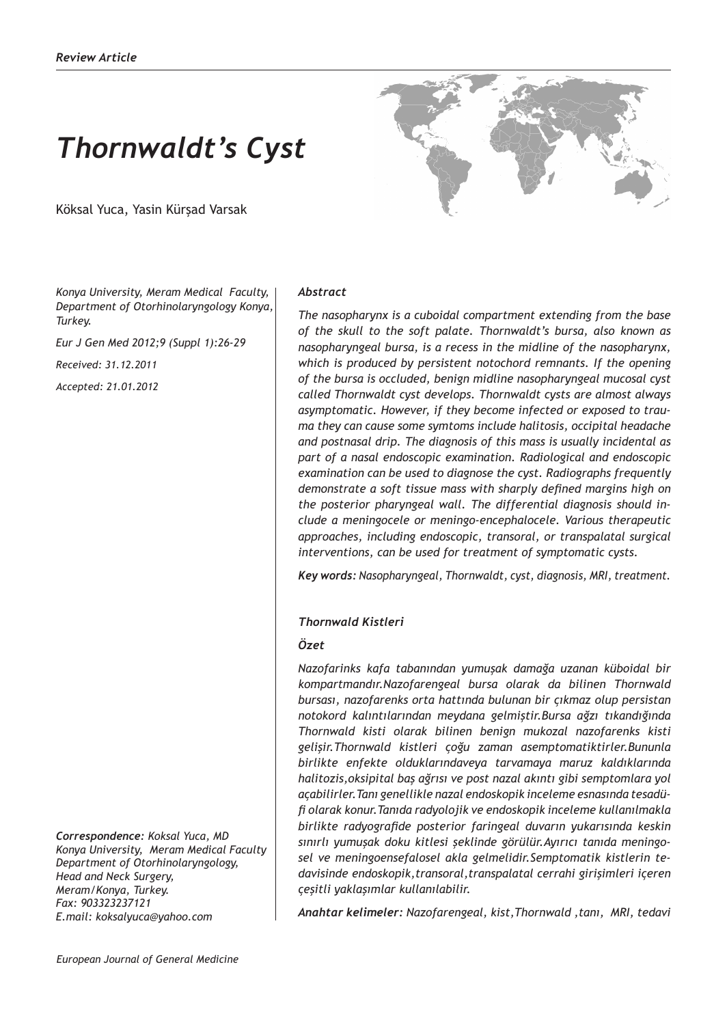# *Thornwaldt's Cyst*

Köksal Yuca, Yasin Kürşad Varsak



*Konya University, Meram Medical Faculty, Department of Otorhinolaryngology Konya, Turkey.*

*Eur J Gen Med 2012;9 (Suppl 1):26-29*

*Received: 31.12.2011*

*Accepted: 21.01.2012*

*Correspondence: Koksal Yuca, MD Konya University, Meram Medical Faculty Department of Otorhinolaryngology, Head and Neck Surgery, Meram/Konya, Turkey. Fax: 903323237121 E.mail: koksalyuca@yahoo.com*

#### *Abstract*

*The nasopharynx is a cuboidal compartment extending from the base of the skull to the soft palate. Thornwaldt's bursa, also known as nasopharyngeal bursa, is a recess in the midline of the nasopharynx, which is produced by persistent notochord remnants. If the opening of the bursa is occluded, benign midline nasopharyngeal mucosal cyst called Thornwaldt cyst develops. Thornwaldt cysts are almost always asymptomatic. However, if they become infected or exposed to trauma they can cause some symtoms include halitosis, occipital headache and postnasal drip. The diagnosis of this mass is usually incidental as part of a nasal endoscopic examination. Radiological and endoscopic examination can be used to diagnose the cyst. Radiographs frequently demonstrate a soft tissue mass with sharply defined margins high on the posterior pharyngeal wall. The differential diagnosis should include a meningocele or meningo-encephalocele. Various therapeutic approaches, including endoscopic, transoral, or transpalatal surgical interventions, can be used for treatment of symptomatic cysts.*

*Key words: Nasopharyngeal, Thornwaldt, cyst, diagnosis, MRI, treatment.*

## *Thornwald Kistleri*

## *Özet*

*Nazofarinks kafa tabanından yumuşak damağa uzanan küboidal bir kompartmandır.Nazofarengeal bursa olarak da bilinen Thornwald bursası, nazofarenks orta hattında bulunan bir çıkmaz olup persistan notokord kalıntılarından meydana gelmiştir.Bursa ağzı tıkandığında Thornwald kisti olarak bilinen benign mukozal nazofarenks kisti gelişir.Thornwald kistleri çoğu zaman asemptomatiktirler.Bununla birlikte enfekte olduklarındaveya tarvamaya maruz kaldıklarında halitozis,oksipital baş ağrısı ve post nazal akıntı gibi semptomlara yol açabilirler.Tanı genellikle nazal endoskopik inceleme esnasında tesadüfi olarak konur.Tanıda radyolojik ve endoskopik inceleme kullanılmakla birlikte radyografide posterior faringeal duvarın yukarısında keskin sınırlı yumuşak doku kitlesi şeklinde görülür.Ayırıcı tanıda meningosel ve meningoensefalosel akla gelmelidir.Semptomatik kistlerin tedavisinde endoskopik,transoral,transpalatal cerrahi girişimleri içeren çeşitli yaklaşımlar kullanılabilir.*

*Anahtar kelimeler: Nazofarengeal, kist,Thornwald ,tanı, MRI, tedavi*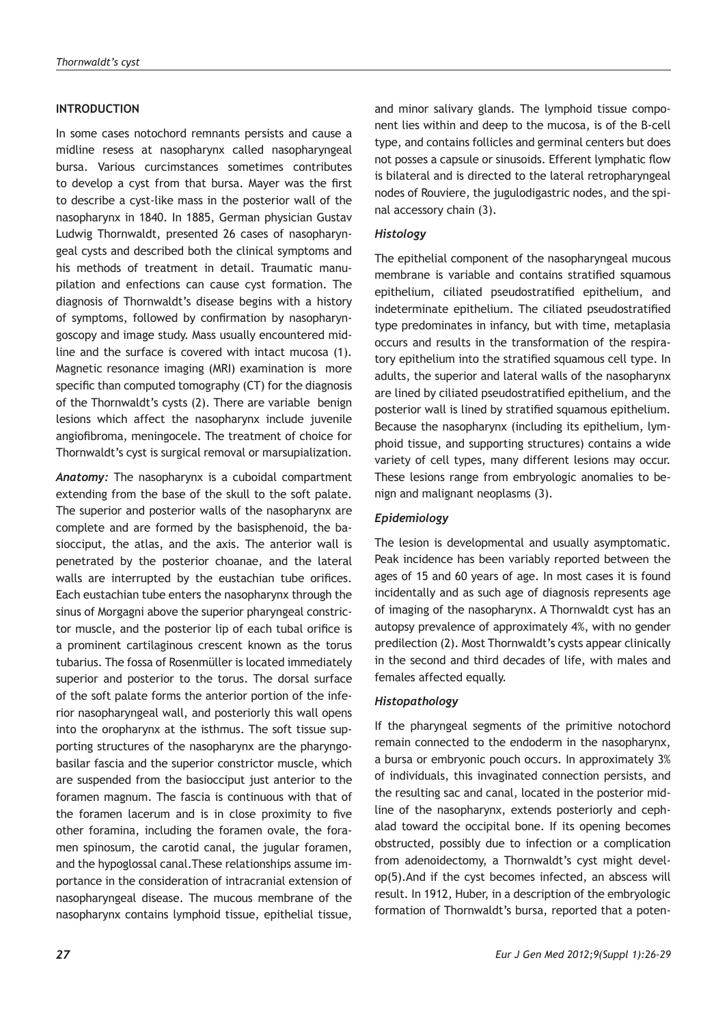## **INTRODUCTION**

In some cases notochord remnants persists and cause a midline resess at nasopharynx called nasopharyngeal bursa. Various curcimstances sometimes contributes to develop a cyst from that bursa. Mayer was the first to describe a cyst-like mass in the posterior wall of the nasopharynx in 1840. In 1885, German physician Gustav Ludwig Thornwaldt, presented 26 cases of nasopharyngeal cysts and described both the clinical symptoms and his methods of treatment in detail. Traumatic manupilation and enfections can cause cyst formation. The diagnosis of Thornwaldt's disease begins with a history of symptoms, followed by confirmation by nasopharyngoscopy and image study. Mass usually encountered midline and the surface is covered with intact mucosa (1). Magnetic resonance imaging (MRI) examination is more specific than computed tomography (CT) for the diagnosis of the Thornwaldt's cysts (2). There are variable benign lesions which affect the nasopharynx include juvenile angiofibroma, meningocele. The treatment of choice for Thornwaldt's cyst is surgical removal or marsupialization.

*Anatomy:* The nasopharynx is a cuboidal compartment extending from the base of the skull to the soft palate. The superior and posterior walls of the nasopharynx are complete and are formed by the basisphenoid, the basiocciput, the atlas, and the axis. The anterior wall is penetrated by the posterior choanae, and the lateral walls are interrupted by the eustachian tube orifices. Each eustachian tube enters the nasopharynx through the sinus of Morgagni above the superior pharyngeal constrictor muscle, and the posterior lip of each tubal orifice is a prominent cartilaginous crescent known as the torus tubarius. The fossa of Rosenmüller is located immediately superior and posterior to the torus. The dorsal surface of the soft palate forms the anterior portion of the inferior nasopharyngeal wall, and posteriorly this wall opens into the oropharynx at the isthmus. The soft tissue supporting structures of the nasopharynx are the pharyngobasilar fascia and the superior constrictor muscle, which are suspended from the basiocciput just anterior to the foramen magnum. The fascia is continuous with that of the foramen lacerum and is in close proximity to five other foramina, including the foramen ovale, the foramen spinosum, the carotid canal, the jugular foramen, and the hypoglossal canal.These relationships assume importance in the consideration of intracranial extension of nasopharyngeal disease. The mucous membrane of the nasopharynx contains lymphoid tissue, epithelial tissue,

and minor salivary glands. The lymphoid tissue component lies within and deep to the mucosa, is of the B-cell type, and contains follicles and germinal centers but does not posses a capsule or sinusoids. Efferent lymphatic flow is bilateral and is directed to the lateral retropharyngeal nodes of Rouviere, the jugulodigastric nodes, and the spinal accessory chain (3).

#### *Histology*

The epithelial component of the nasopharyngeal mucous membrane is variable and contains stratified squamous epithelium, ciliated pseudostratified epithelium, and indeterminate epithelium. The ciliated pseudostratified type predominates in infancy, but with time, metaplasia occurs and results in the transformation of the respiratory epithelium into the stratified squamous cell type. In adults, the superior and lateral walls of the nasopharynx are lined by ciliated pseudostratified epithelium, and the posterior wall is lined by stratified squamous epithelium. Because the nasopharynx (including its epithelium, lymphoid tissue, and supporting structures) contains a wide variety of cell types, many different lesions may occur. These lesions range from embryologic anomalies to benign and malignant neoplasms (3).

## *Epidemiology*

The lesion is developmental and usually asymptomatic. Peak incidence has been variably reported between the ages of 15 and 60 years of age. In most cases it is found incidentally and as such age of diagnosis represents age of imaging of the nasopharynx. A Thornwaldt cyst has an autopsy prevalence of approximately 4%, with no gender predilection (2). Most Thornwaldt's cysts appear clinically in the second and third decades of life, with males and females affected equally.

## *Histopathology*

If the pharyngeal segments of the primitive notochord remain connected to the endoderm in the nasopharynx, a bursa or embryonic pouch occurs. In approximately 3% of individuals, this invaginated connection persists, and the resulting sac and canal, located in the posterior midline of the nasopharynx, extends posteriorly and cephalad toward the occipital bone. If its opening becomes obstructed, possibly due to infection or a complication from adenoidectomy, a Thornwaldt's cyst might develop(5).And if the cyst becomes infected, an abscess will result. In 1912, Huber, in a description of the embryologic formation of Thornwaldt's bursa, reported that a poten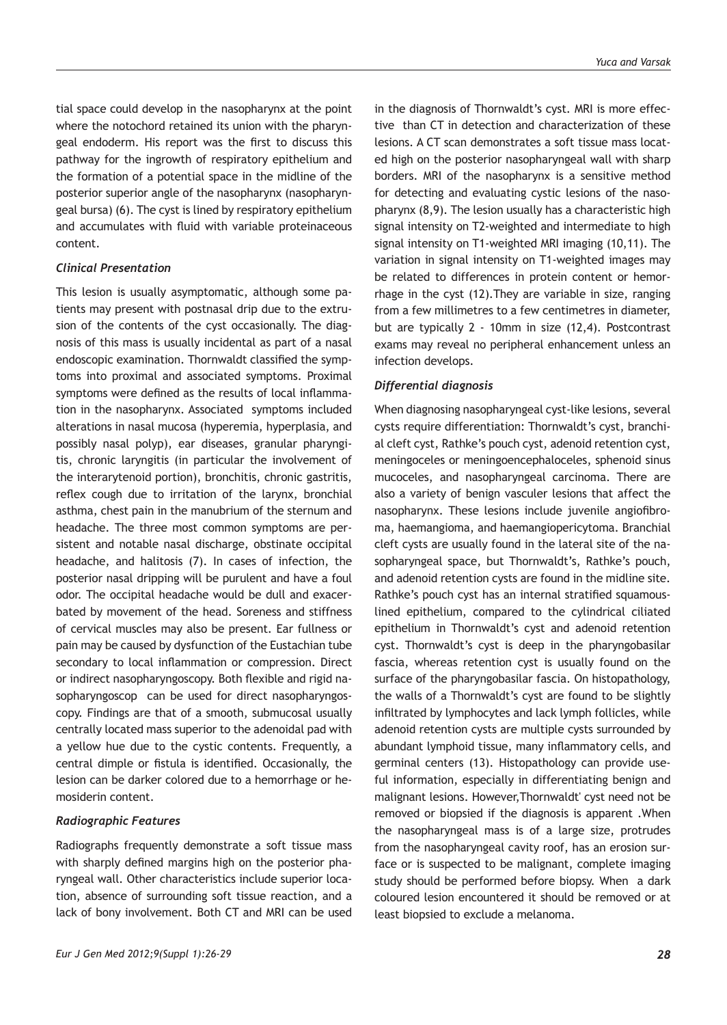tial space could develop in the nasopharynx at the point where the notochord retained its union with the pharyngeal endoderm. His report was the first to discuss this pathway for the ingrowth of respiratory epithelium and the formation of a potential space in the midline of the posterior superior angle of the nasopharynx (nasopharyngeal bursa) (6). The cyst is lined by respiratory epithelium and accumulates with fluid with variable proteinaceous content.

#### *Clinical Presentation*

This lesion is usually asymptomatic, although some patients may present with postnasal drip due to the extrusion of the contents of the cyst occasionally. The diagnosis of this mass is usually incidental as part of a nasal endoscopic examination. Thornwaldt classified the symptoms into proximal and associated symptoms. Proximal symptoms were defined as the results of local inflammation in the nasopharynx. Associated symptoms included alterations in nasal mucosa (hyperemia, hyperplasia, and possibly nasal polyp), ear diseases, granular pharyngitis, chronic laryngitis (in particular the involvement of the interarytenoid portion), bronchitis, chronic gastritis, reflex cough due to irritation of the larynx, bronchial asthma, chest pain in the manubrium of the sternum and headache. The three most common symptoms are persistent and notable nasal discharge, obstinate occipital headache, and halitosis (7). In cases of infection, the posterior nasal dripping will be purulent and have a foul odor. The occipital headache would be dull and exacerbated by movement of the head. Soreness and stiffness of cervical muscles may also be present. Ear fullness or pain may be caused by dysfunction of the Eustachian tube secondary to local inflammation or compression. Direct or indirect nasopharyngoscopy. Both flexible and rigid nasopharyngoscop can be used for direct nasopharyngoscopy. Findings are that of a smooth, submucosal usually centrally located mass superior to the adenoidal pad with a yellow hue due to the cystic contents. Frequently, a central dimple or fistula is identified. Occasionally, the lesion can be darker colored due to a hemorrhage or hemosiderin content.

#### *Radiographic Features*

Radiographs frequently demonstrate a soft tissue mass with sharply defined margins high on the posterior pharyngeal wall. Other characteristics include superior location, absence of surrounding soft tissue reaction, and a lack of bony involvement. Both CT and MRI can be used in the diagnosis of Thornwaldt's cyst. MRI is more effective than CT in detection and characterization of these lesions. A CT scan demonstrates a soft tissue mass located high on the posterior nasopharyngeal wall with sharp borders. MRI of the nasopharynx is a sensitive method for detecting and evaluating cystic lesions of the nasopharynx (8,9). The lesion usually has a characteristic high signal intensity on T2-weighted and intermediate to high signal intensity on T1-weighted MRI imaging (10,11). The variation in signal intensity on T1-weighted images may be related to differences in protein content or hemorrhage in the cyst (12).They are variable in size, ranging from a few millimetres to a few centimetres in diameter, but are typically 2 - 10mm in size (12,4). Postcontrast exams may reveal no peripheral enhancement unless an infection develops.

#### *Differential diagnosis*

When diagnosing nasopharyngeal cyst-like lesions, several cysts require differentiation: Thornwaldt's cyst, branchial cleft cyst, Rathke's pouch cyst, adenoid retention cyst, meningoceles or meningoencephaloceles, sphenoid sinus mucoceles, and nasopharyngeal carcinoma. There are also a variety of benign vasculer lesions that affect the nasopharynx. These lesions include juvenile angiofibroma, haemangioma, and haemangiopericytoma. Branchial cleft cysts are usually found in the lateral site of the nasopharyngeal space, but Thornwaldt's, Rathke's pouch, and adenoid retention cysts are found in the midline site. Rathke's pouch cyst has an internal stratified squamouslined epithelium, compared to the cylindrical ciliated epithelium in Thornwaldt's cyst and adenoid retention cyst. Thornwaldt's cyst is deep in the pharyngobasilar fascia, whereas retention cyst is usually found on the surface of the pharyngobasilar fascia. On histopathology, the walls of a Thornwaldt's cyst are found to be slightly infiltrated by lymphocytes and lack lymph follicles, while adenoid retention cysts are multiple cysts surrounded by abundant lymphoid tissue, many inflammatory cells, and germinal centers (13). Histopathology can provide useful information, especially in differentiating benign and malignant lesions. However,Thornwaldt' cyst need not be removed or biopsied if the diagnosis is apparent .When the nasopharyngeal mass is of a large size, protrudes from the nasopharyngeal cavity roof, has an erosion surface or is suspected to be malignant, complete imaging study should be performed before biopsy. When a dark coloured lesion encountered it should be removed or at least biopsied to exclude a melanoma.